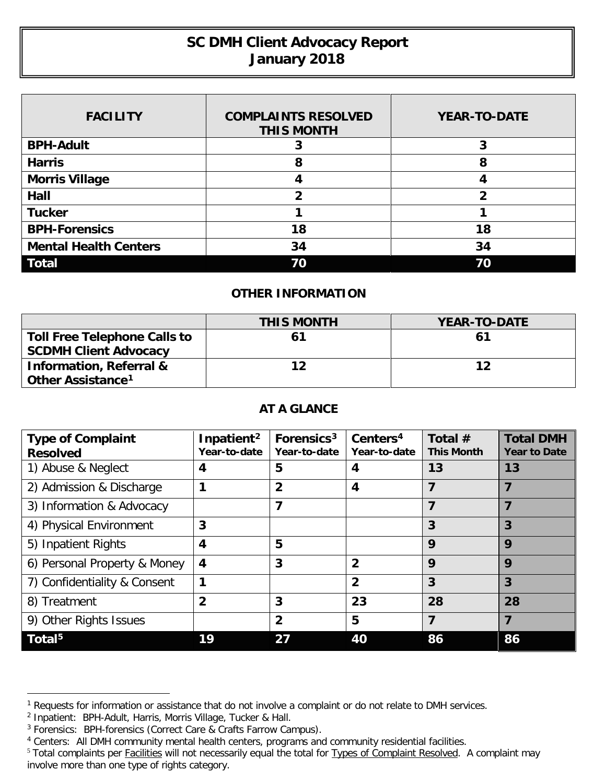## **SC DMH Client Advocacy Report January 2018**

| <b>FACILITY</b>              | <b>COMPLAINTS RESOLVED</b><br><b>THIS MONTH</b> | <b>YEAR-TO-DATE</b> |
|------------------------------|-------------------------------------------------|---------------------|
| <b>BPH-Adult</b>             |                                                 | 3                   |
| <b>Harris</b>                | 8                                               | 8                   |
| <b>Morris Village</b>        |                                                 |                     |
| Hall                         | 2                                               | າ                   |
| <b>Tucker</b>                |                                                 |                     |
| <b>BPH-Forensics</b>         | 18                                              | 18                  |
| <b>Mental Health Centers</b> | 34                                              | 34                  |
| <b>Total</b>                 | 70                                              | 70                  |

## **OTHER INFORMATION**

|                                     | <b>THIS MONTH</b> | <b>YEAR-TO-DATE</b> |
|-------------------------------------|-------------------|---------------------|
| <b>Toll Free Telephone Calls to</b> |                   | 61                  |
| <b>SCDMH Client Advocacy</b>        |                   |                     |
| <b>Information, Referral &amp;</b>  | 12                | 12                  |
| Other Assistance <sup>1</sup>       |                   |                     |

## **AT A GLANCE**

| <b>Type of Complaint</b><br><b>Resolved</b> | Inpatient <sup>2</sup><br>Year-to-date | Forensics <sup>3</sup><br>Year-to-date | Centers <sup>4</sup><br>Year-to-date | Total $#$<br><b>This Month</b> | <b>Total DMH</b><br><b>Year to Date</b> |
|---------------------------------------------|----------------------------------------|----------------------------------------|--------------------------------------|--------------------------------|-----------------------------------------|
| 1) Abuse & Neglect                          | 4                                      | 5                                      |                                      | 13                             | 13                                      |
| 2) Admission & Discharge                    |                                        | $\overline{2}$                         | 4                                    |                                |                                         |
| 3) Information & Advocacy                   |                                        | 7                                      |                                      | 7                              |                                         |
| 4) Physical Environment                     | 3                                      |                                        |                                      | 3                              | 3                                       |
| 5) Inpatient Rights                         | 4                                      | 5                                      |                                      | 9                              | 9                                       |
| 6) Personal Property & Money                | 4                                      | 3                                      | $\overline{2}$                       | 9                              | 9                                       |
| 7) Confidentiality & Consent                | 1                                      |                                        | $\overline{2}$                       | 3                              | $\overline{3}$                          |
| 8) Treatment                                | $\overline{2}$                         | 3                                      | 23                                   | 28                             | 28                                      |
| 9) Other Rights Issues                      |                                        | $\overline{2}$                         | 5                                    | 7                              | 7                                       |
| Total <sup>5</sup>                          | 19                                     |                                        | 40                                   | 86                             | 86                                      |

 $\overline{a}$ 

<span id="page-0-0"></span><sup>&</sup>lt;sup>1</sup> Requests for information or assistance that do not involve a complaint or do not relate to DMH services.

<span id="page-0-1"></span><sup>&</sup>lt;sup>2</sup> Inpatient: BPH-Adult, Harris, Morris Village, Tucker & Hall.

<span id="page-0-2"></span><sup>&</sup>lt;sup>3</sup> Forensics: BPH-forensics (Correct Care & Crafts Farrow Campus).

<span id="page-0-3"></span><sup>4</sup> Centers: All DMH community mental health centers, programs and community residential facilities.

<span id="page-0-4"></span><sup>&</sup>lt;sup>5</sup> Total complaints per Facilities will not necessarily equal the total for Types of Complaint Resolved. A complaint may involve more than one type of rights category.